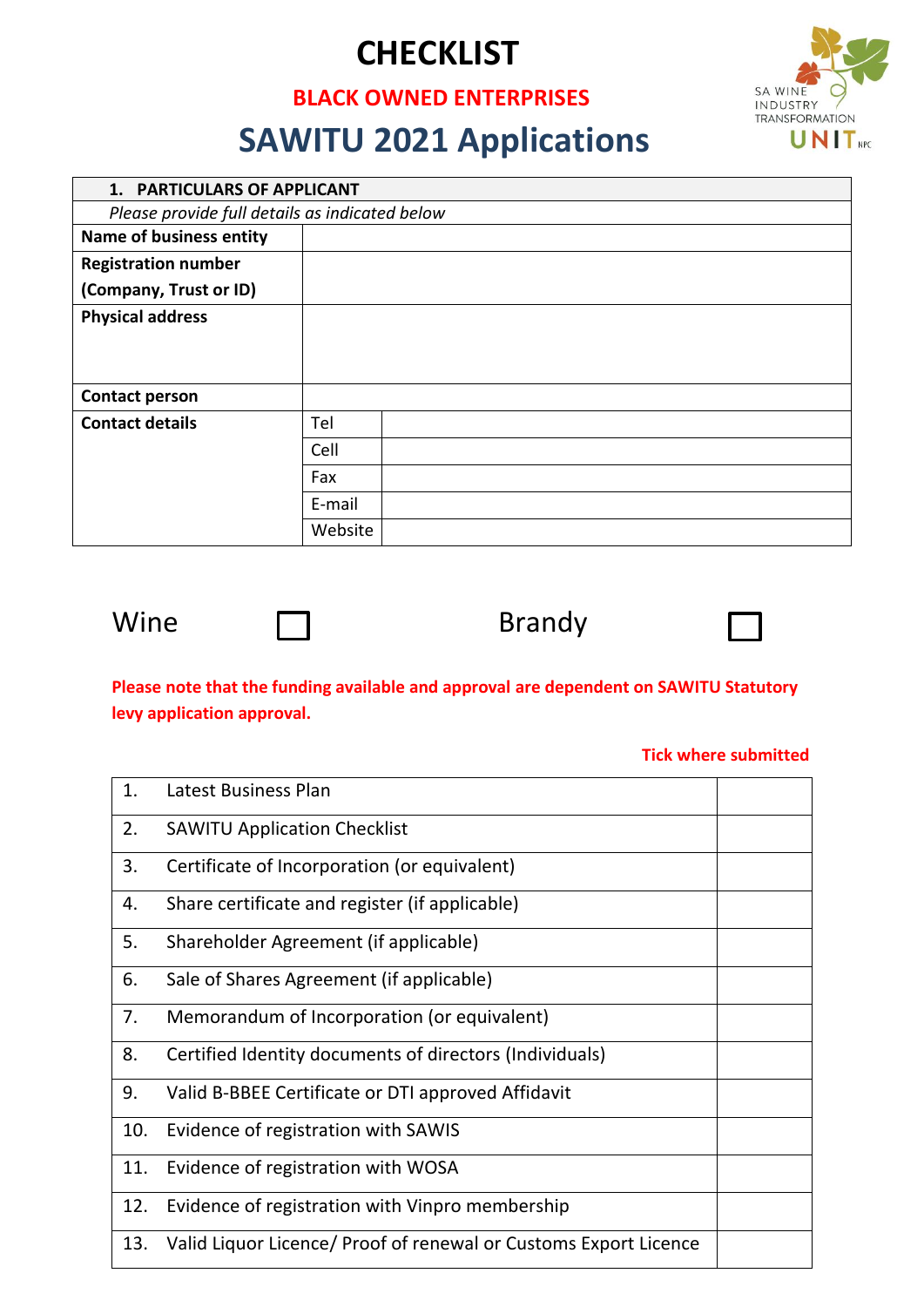# **CHECKLIST**

### **BLACK OWNED ENTERPRISES**



# **SAWITU 2021 Applications**

| 1. PARTICULARS OF APPLICANT                    |         |  |  |  |
|------------------------------------------------|---------|--|--|--|
| Please provide full details as indicated below |         |  |  |  |
| <b>Name of business entity</b>                 |         |  |  |  |
| <b>Registration number</b>                     |         |  |  |  |
| (Company, Trust or ID)                         |         |  |  |  |
| <b>Physical address</b>                        |         |  |  |  |
|                                                |         |  |  |  |
|                                                |         |  |  |  |
| <b>Contact person</b>                          |         |  |  |  |
| <b>Contact details</b>                         | Tel     |  |  |  |
|                                                | Cell    |  |  |  |
|                                                | Fax     |  |  |  |
|                                                | E-mail  |  |  |  |
|                                                | Website |  |  |  |



Wine  $\Box$  Brandy



### **Please note that the funding available and approval are dependent on SAWITU Statutory levy application approval.**

#### **Tick where submitted**

| 1.  | Latest Business Plan                                             |  |
|-----|------------------------------------------------------------------|--|
| 2.  | <b>SAWITU Application Checklist</b>                              |  |
| 3.  | Certificate of Incorporation (or equivalent)                     |  |
| 4.  | Share certificate and register (if applicable)                   |  |
| 5.  | Shareholder Agreement (if applicable)                            |  |
| 6.  | Sale of Shares Agreement (if applicable)                         |  |
| 7.  | Memorandum of Incorporation (or equivalent)                      |  |
| 8.  | Certified Identity documents of directors (Individuals)          |  |
| 9.  | Valid B-BBEE Certificate or DTI approved Affidavit               |  |
| 10. | Evidence of registration with SAWIS                              |  |
| 11. | Evidence of registration with WOSA                               |  |
| 12. | Evidence of registration with Vinpro membership                  |  |
| 13. | Valid Liquor Licence/ Proof of renewal or Customs Export Licence |  |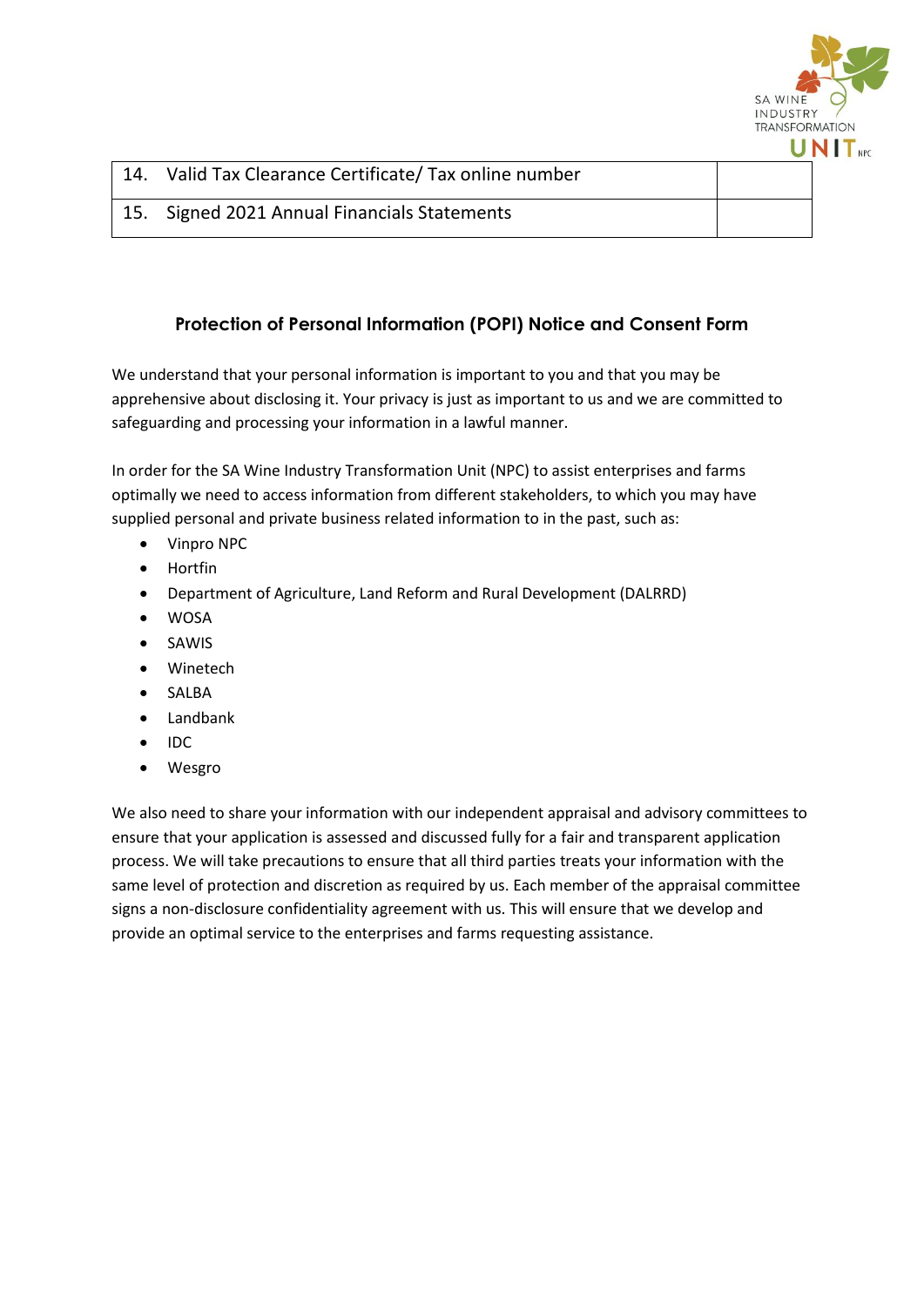

| Valid Tax Clearance Certificate/ Tax online number |  |
|----------------------------------------------------|--|
| 15. Signed 2021 Annual Financials Statements       |  |

#### **Protection of Personal Information (POPI) Notice and Consent Form**

We understand that your personal information is important to you and that you may be apprehensive about disclosing it. Your privacy is just as important to us and we are committed to safeguarding and processing your information in a lawful manner.

In order for the SA Wine Industry Transformation Unit (NPC) to assist enterprises and farms optimally we need to access information from different stakeholders, to which you may have supplied personal and private business related information to in the past, such as:

- Vinpro NPC
- Hortfin
- Department of Agriculture, Land Reform and Rural Development (DALRRD)
- WOSA
- SAWIS
- Winetech
- SALBA
- Landbank
- $\bullet$  IDC
- Wesgro

We also need to share your information with our independent appraisal and advisory committees to ensure that your application is assessed and discussed fully for a fair and transparent application process. We will take precautions to ensure that all third parties treats your information with the same level of protection and discretion as required by us. Each member of the appraisal committee signs a non-disclosure confidentiality agreement with us. This will ensure that we develop and provide an optimal service to the enterprises and farms requesting assistance.